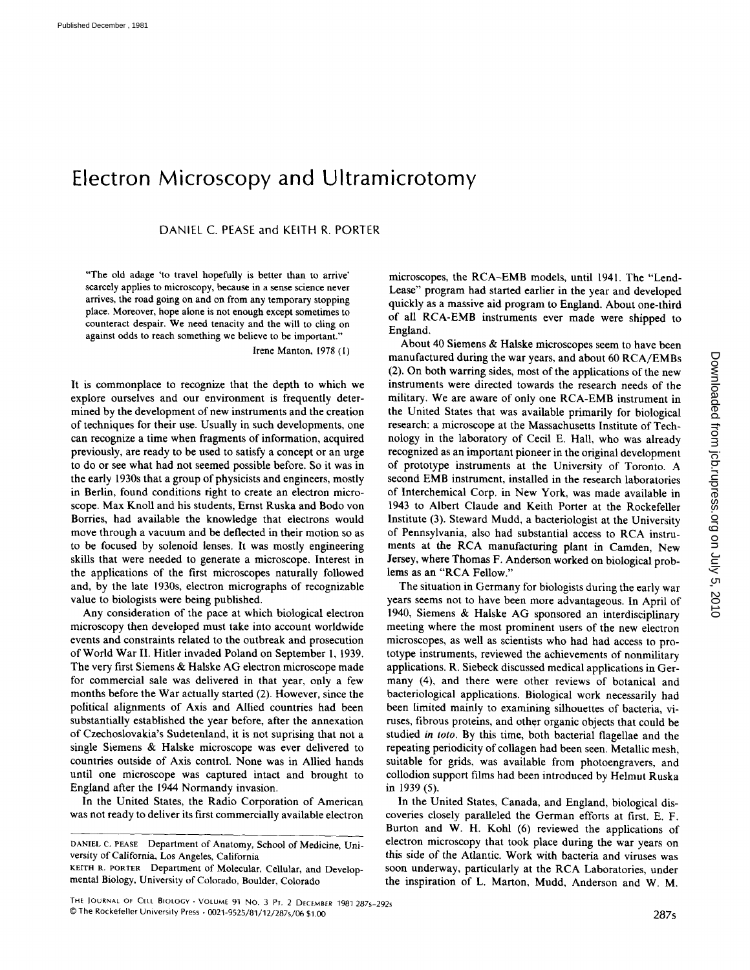## Electron Microscopy and Ultramicrotomy

DANIEL C. PEASE and KEITH R. PORTER

"The old adage `to travel hopefully is better than to arrive' scarcely applies to microscopy, because in a sense science never arrives, the road going on and on from any temporary stopping place . Moreover, hope alone is not enough except sometimes to counteract despair. We need tenacity and the will to cling on against odds to reach something we believe to be important."

Irene Manton, 1975 (1)

It is commonplace to recognize that the depth to which we explore ourselves and our environment is frequently determined by the development of new instruments and the creation of techniques for their use. Usually in such developments, one can recognize a time when fragments of information, acquired previously, are ready to be used to satisfy a concept or an urge to do or see what had not seemed possible before. So it was in the early 1930s that a group of physicists and engineers, mostly in Berlin, found conditions right to create an electron microscope. Max Knoll and his students, Ernst Ruska and Bodo von Borries, had available the knowledge that electrons would move through a vacuum and be deflected in their motion so as to be focused by solenoid lenses . It was mostly engineering skills that were needed to generate a microscope. Interest in the applications of the first microscopes naturally followed and, by the late 1930s, electron micrographs of recognizable value to biologists were being published.

Any consideration of the pace at which biological electron microscopy then developed must take into account worldwide events and constraints related to the outbreak and prosecution of World War II . Hitler invaded Poland on September 1, 1939. The very first Siemens & Halske AG electron microscope made for commercial sale was delivered in that year, only a few months before the War actually started (2) . However, since the political alignments of Axis and Allied countries had been substantially established the year before, after the annexation of Czechoslovakia's Sudetenland, it is not suprising that not a single Siemens & Halske microscope was ever delivered to countries outside of Axis control . None was in Allied hands until one microscope was captured intact and brought to England after the 1944 Normandy invasion.

In the United States, the Radio Corporation of American was not ready to deliver its first commercially available electron

microscopes, the RCA-EMB models, until 1941. The "Lend-Lease" program had started earlier in the year and developed quickly as a massive aid program to England. About one-third of all RCA-EMB instruments ever made were shipped to England.

About 40 Siemens & Halske microscopes seem to have been manufactured during the war years, and about <sup>60</sup> RCA/EMBs (2) . On both warring sides, most of the applications of the new instruments were directed towards the research needs of the military. We are aware of only one RCA-EMB instrument in the United States that was available primarily for biological research: a microscope at the Massachusetts Institute of Technology in the laboratory of Cecil E. Hall, who was already recognized as an important pioneer in the original development of prototype instruments at the University of Toronto . A second EMB instrument, installed in the research laboratories of Interchemical Corp. in New York, was made available in 1943 to Albert Claude and Keith Porter at the Rockefeller Institute (3) . Steward Mudd, a bacteriologist at the University of Pennsylvania, also had substantial access to RCA instruments at the RCA manufacturing plant in Camden, New Jersey, where Thomas F. Anderson worked on biological problems as an "RCA Fellow."

The situation in Germany for biologists during the early war years seems not to have been more advantageous . In April of 1940, Siemens & Halske AG sponsored an interdisciplinary meeting where the most prominent users of the new electron microscopes, as well as scientists who had had access to prototype instruments, reviewed the achievements of nonmilitary applications . R. Siebeck discussed medical applications in Germany (4), and there were other reviews of botanical and bacteriological applications. Biological work necessarily had been limited mainly to examining silhouettes of bacteria, viruses, fibrous proteins, and other organic objects that could be studied in toto. By this time, both bacterial flagellae and the repeating periodicity of collagen had been seen. Metallic mesh, suitable for grids, was available from photoengravers, and collodion support films had been introduced by Helmut Ruska in 1939 (5).

In the United States, Canada, and England, biological discoveries closely paralleled the German efforts at first. E. F. Burton and W. H. Kohl (6) reviewed the applications of electron microscopy that took place during the war years on this side of the Atlantic. Work with bacteria and viruses was soon underway, particularly at the RCA Laboratories, under the inspiration of L. Marton, Mudd, Anderson and W. M.

DANIEL C. PEASE Department of Anatomy, School of Medicine, University of California, Los Angeles, California

KEITH R. PORTER Department of Molecular, Cellular, and Developmental Biology, University of Colorado, Boulder, Colorado

Downloaded from jcb.rupress.org on July 5, 2010 Downloaded from [jcb.rupress.org](http://jcb.rupress.org/) on July 5, 2010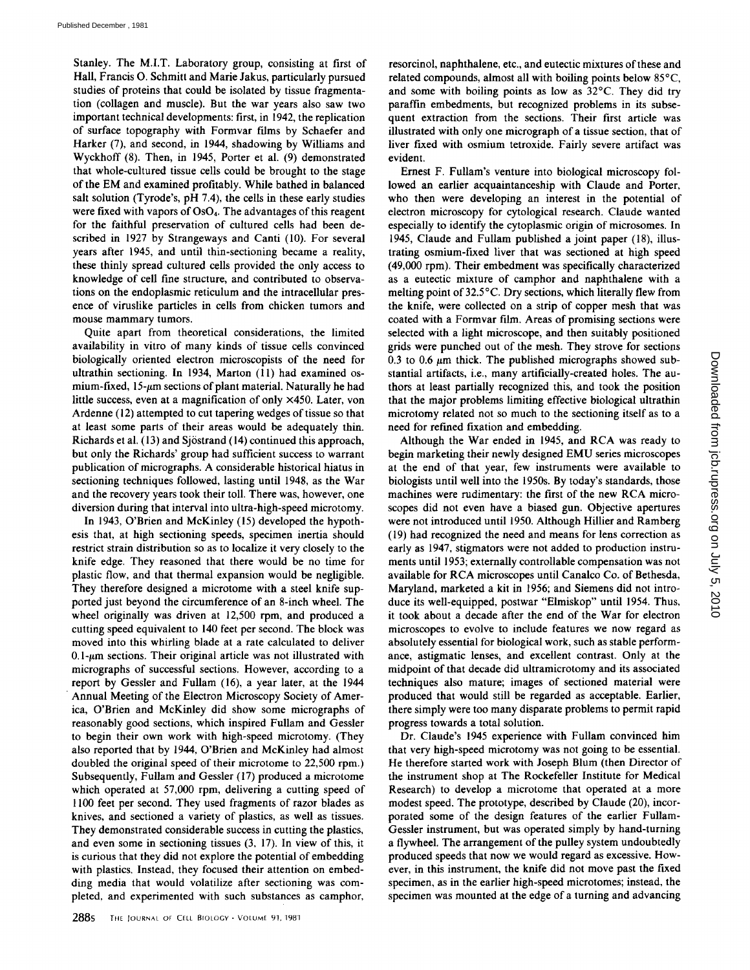Stanley. The M.I.T. Laboratory group, consisting at first of Hall, Francis O. Schmitt and Marie Jakus, particularly pursued studies of proteins that could be isolated by tissue fragmentation (collagen and muscle). But the war years also saw two important technical developments: first, in 1942, the replication of surface topography with Formvar films by Schaefer and Harker (7), and second, in 1944, shadowing by Williams and Wyckhoff (8). Then, in 1945, Porter et al. (9) demonstrated that whole-cultured tissue cells could be brought to the stage of the EM and examined profitably . While bathed in balanced salt solution (Tyrode's, pH 7.4), the cells in these early studies were fixed with vapors of  $OsO<sub>4</sub>$ . The advantages of this reagent for the faithful preservation of cultured cells had been described in 1927 by Strangeways and Canti (10). For several years after 1945, and until thin-sectioning became a reality, these thinly spread cultured cells provided the only access to knowledge of cell fine structure, and contributed to observations on the endoplasmic reticulum and the intracellular presence of viruslike particles in cells from chicken tumors and mouse mammary tumors.

Quite apart from theoretical considerations, the limited availability in vitro of many kinds of tissue cells convinced biologically oriented electron microscopists of the need for ultrathin sectioning. In 1934, Marton (11) had examined osmium-fixed,  $15-\mu m$  sections of plant material. Naturally he had little success, even at <sup>a</sup> magnification of only x450. Later, von Ardenne (12) attempted to cut tapering wedges of tissue so that at least some parts of their areas would be adequately thin. Richards et al. (13) and Sjöstrand (14) continued this approach, but only the Richards' group had sufficient success to warrant publication of micrographs. A considerable historical hiatus in sectioning techniques followed, lasting until 1948, as the War and the recovery years took their toll. There was, however, one diversion during that interval into ultra-high-speed microtomy.

In 1943, O'Brien and McKinley (15) developed the hypothesis that, at high sectioning speeds, specimen inertia should restrict strain distribution so as to localize it very closely to the knife edge. They reasoned that there would be no time for plastic flow, and that thermal expansion would be negligible. They therefore designed a microtome with a steel knife supported just beyond the circumference of an 8-inch wheel. The wheel originally was driven at 12,500 rpm, and produced a cutting speed equivalent to 140 feet per second. The block was moved into this whirling blade at a rate calculated to deliver  $0.1$ - $\mu$ m sections. Their original article was not illustrated with micrographs of successful sections. However, according to a report by Gessler and Fullam (16), a year later, at the 1944 Annual Meeting of the Electron Microscopy Society of America, O'Brien and McKinley did show some micrographs of reasonably good sections, which inspired Fullam and Gessler to begin their own work with high-speed microtomy. (They also reported that by 1944, O'Brien and McKinley had almost doubled the original speed of their microtome to 22,500 rpm.) Subsequently, Fullam and Gessler (17) produced a microtome which operated at 57,000 rpm, delivering a cutting speed of 1100 feet per second. They used fragments of razor blades as knives, and sectioned a variety of plastics, as well as tissues. They demonstrated considerable success in cutting the plastics, and even some in sectioning tissues (3, 17). In view of this, it is curious that they did not explore the potential of embedding with plastics. Instead, they focused their attention on embedding media that would volatilize after sectioning was completed, and experimented with such substances as camphor,

resorcinol, naphthalene, etc., and eutectic mixtures of these and related compounds, almost all with boiling points below 85°C, and some with boiling points as low as 32°C. They did try paraffin embedments, but recognized problems in its subsequent extraction from the sections. Their first article was illustrated with only one micrograph of a tissue section, that of liver fixed with osmium tetroxide. Fairly severe artifact was evident.

Ernest F. Fullam's venture into biological microscopy followed an earlier acquaintanceship with Claude and Porter, who then were developing an interest in the potential of electron microscopy for cytological research . Claude wanted especially to identify the cytoplasmic origin of microsomes . In 1945, Claude and Fullam published a joint paper (18), illustrating osmium-fixed liver that was sectioned at high speed (49,000 rpm). Their embedment was specifically characterized as a eutectic mixture of camphor and naphthalene with a melting point of 32.5°C . Dry sections, which literally flew from the knife, were collected on a strip of copper mesh that was coated with a Formvar film. Areas of promising sections were selected with a light microscope, and then suitably positioned grids were punched out of the mesh. They strove for sections 0.3 to 0.6  $\mu$ m thick. The published micrographs showed substantial artifacts, i.e., many artificially-created holes. The authors at least partially recognized this, and took the position that the major problems limiting effective biological ultrathin microtomy related not so much to the sectioning itself as to a need for refined fixation and embedding.

Although the War ended in 1945, and RCA was ready to begin marketing their newly designed EMU series microscopes at the end of that year, few instruments were available to biologists until well into the 1950s. By today's standards, those machines were rudimentary: the first of the new RCA microscopes did not even have a biased gun. Objective apertures were not introduced until 1950 . Although Hillier and Ramberg (19) had recognized the need and means for lens correction as early as 1947, stigmators were not added to production instruments until 1953; externally controllable compensation was not available for RCA microscopes until Canalco Co. of Bethesda, Maryland, marketed a kit in 1956; and Siemens did not introduce its well-equipped, postwar "Elmiskop" until 1954. Thus, it took about a decade after the end of the War for electron microscopes to evolve to include features we now regard as absolutely essential for biological work, such as stable performance, astigmatic lenses, and excellent contrast. Only at the midpoint of that decade did ultramicrotomy and its associated techniques also mature; images of sectioned material were produced that would still be regarded as acceptable. Earlier, there simply were too many disparate problems to permit rapid progress towards a total solution.

Dr. Claude's <sup>1945</sup> experience with Fullam convinced him that very high-speed microtomy was not going to be essential. He therefore started work with Joseph Blum (then Director of the instrument shop at The Rockefeller Institute for Medical Research) to develop a microtome that operated at a more modest speed. The prototype, described by Claude (20), incorporated some of the design features of the earlier Fullam-Gessler instrument, but was operated simply by hand-turning a flywheel. The arrangement of the pulley system undoubtedly produced speeds that now we would regard as excessive. However, in this instrument, the knife did not move past the fixed specimen, as in the earlier high-speed microtomes; instead, the specimen was mounted at the edge of a turning and advancing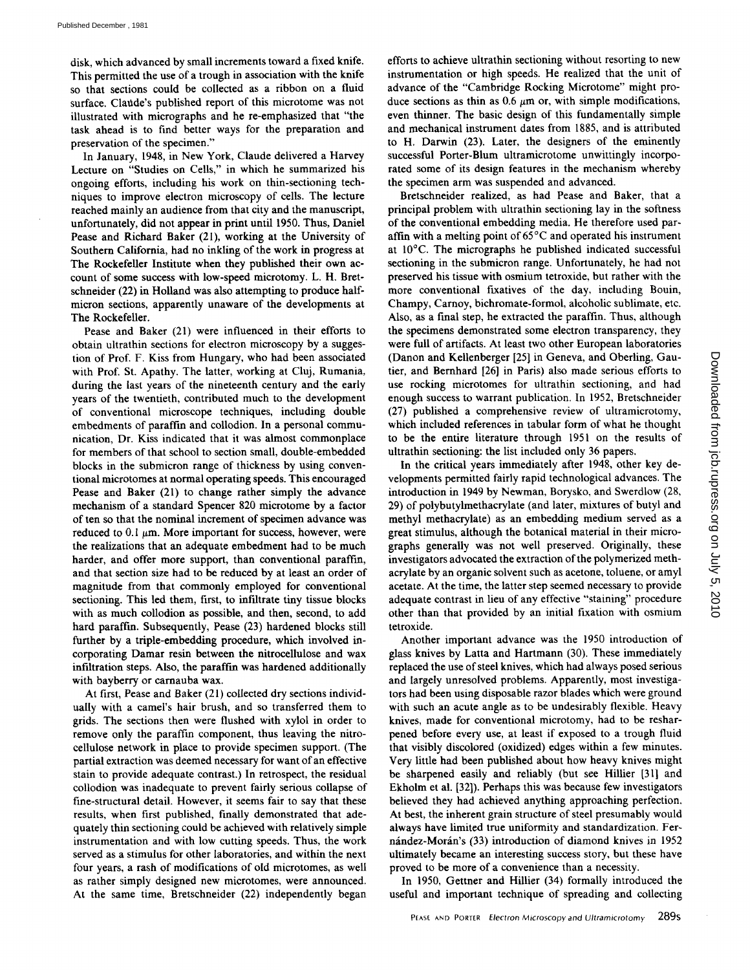disk, which advanced by small increments toward a fixed knife. This permitted the use of a trough in association with the knife so that sections could be collected as a ribbon on <sup>a</sup> fluid surface. Claude's published report of this microtome was not illustrated with micrographs and he re-emphasized that "the task ahead is to find better ways for the preparation and preservation of the specimen."

In January, 1948, in New York, Claude delivered <sup>a</sup> Harvey Lecture on "Studies on Cells," in which he summarized his ongoing efforts, including his work on thin-sectioning techniques to improve electron microscopy of cells. The lecture reached mainly an audience from that city and the manuscript, unfortunately, did not appear in print until 1950. Thus, Daniel Pease and Richard Baker (21), working at the University of Southern California, had no inkling of the work in progress at The Rockefeller Institute when they published their own account of some success with low-speed microtomy . L. H. Bretschneider (22) in Holland was also attempting to produce halfmicron sections, apparently unaware of the developments at The Rockefeller.

Pease and Baker (21) were influenced in their efforts to obtain ultrathin sections for electron microscopy by a suggestion of Prof. F. Kiss from Hungary, who had been associated with Prof. St. Apathy. The latter, working at Cluj, Rumania, during the last years of the nineteenth century and the early years of the twentieth, contributed much to the development of conventional microscope techniques, including double embedments of paraffin and collodion . In a personal communication, Dr. Kiss indicated that it was almost commonplace for members of that school to section small, double-embedded blocks in the submicron range of thickness by using conventional microtomes at normal operating speeds. This encouraged Pease and Baker (21) to change rather simply the advance mechanism of a standard Spencer 820 microtome by a factor of ten so that the nominal increment of specimen advance was reduced to 0.1  $\mu$ m. More important for success, however, were the realizations that an adequate embedment had to be much harder, and offer more support, than conventional paraffin, and that section size had to be reduced by at least an order of magnitude from that commonly employed for conventional sectioning. This led them, first, to infiltrate tiny tissue blocks with as much collodion as possible, and then, second, to add hard paraffin. Subsequently, Pease (23) hardened blocks still further by a triple-embedding procedure, which involved incorporating Damar resin between the nitrocellulose and wax infiltration steps. Also, the paraffin was hardened additionally with bayberry or carnauba wax.

At first, Pease and Baker (21) collected dry sections individually with a camel's hair brush, and so transferred them to grids. The sections then were flushed with xylol in order to remove only the paraffin component, thus leaving the nitrocellulose network in place to provide specimen support (The partial extraction was deemed necessary for want of an effective stain to provide adequate contrast.) In retrospect, the residual collodion was inadequate to prevent fairly serious collapse of fine-structural detail. However, it seems fair to say that these results, when first published, finally demonstrated that adequately thin sectioning could be achieved with relatively simple instrumentation and with low cutting speeds. Thus, the work served as a stimulus for other laboratories, and within the next four years, a rash of modifications of old microtomes, as well as rather simply designed new microtomes, were announced. At the same time, Bretschneider (22) independently began

efforts to achieve ultrathin sectioning without resorting to new instrumentation or high speeds. He realized that the unit of advance of the "Cambridge Rocking Microtome" might produce sections as thin as  $0.6 \mu m$  or, with simple modifications, even thinner. The basic design of this fundamentally simple and mechanical instrument dates from 1885, and is attributed to H. Darwin (23). Later, the designers of the eminently successful Porter-Blum ultramicrotome unwittingly incorporated some of its design features in the mechanism whereby the specimen arm was suspended and advanced.

Bretschneider realized, as had Pease and Baker, that a principal problem with ultrathin sectioning lay in the softness of the conventional embedding media. He therefore used paraffin with a melting point of  $65^{\circ}$ C and operated his instrument at 10°C. The micrographs he published indicated successful sectioning in the submicron range. Unfortunately, he had not preserved his tissue with osmium tetroxide, but rather with the more conventional fixatives of the day, including Bouin, Champy, Carnoy, bichromate-formol, alcoholic sublimate, etc. Also, as a final step, he extracted the paraffin. Thus, although the specimens demonstrated some electron transparency, they were full of artifacts. At least two other European laboratories (Danon and Kellenberger [25] in Geneva, and Oberling, Gautier, and Bernhard [261 in Paris) also made serious efforts to use rocking microtomes for ultrathin sectioning, and had enough success to warrant publication . In 1952, Bretschneider (27) published a comprehensive review of ultramicrotomy, which included references in tabular form of what he thought to be the entire literature through 1951 on the results of ultrathin sectioning: the list included only 36 papers.

In the critical years immediately after 1948, other key developments permitted fairly rapid technological advances . The introduction in 1949 by Newman, Borysko, and Swerdlow (28, 29) of polybutylmethacrylate (and later, mixtures of butyl and methyl methacrylate) as an embedding medium served as a great stimulus, although the botanical material in their micrographs generally was not well preserved. Originally, these investigators advocated the extraction of the polymerized methacrylate by an organic solvent such as acetone, toluene, or amyl acetate. At the time, the latter step seemed necessary to provide adequate contrast in lieu of any effective "staining" procedure other than that provided by an initial fixation with osmium tetroxide .

Another important advance was the 1950 introduction of glass knives by Latta and Hartmann (30). These immediately replaced the use of steel knives, which had always posed serious and largely unresolved problems. Apparently, most investigators had been using disposable razor blades which were ground with such an acute angle as to be undesirably flexible. Heavy knives, made for conventional microtomy, had to be resharpened before every use, at least if exposed to a trough fluid that visibly discolored (oxidized) edges within a few minutes. Very little had been published about how heavy knives might be sharpened easily and reliably (but see Hillier [31] and Ekholm et al. [32]). Perhaps this was because few investigators believed they had achieved anything approaching perfection. At best, the inherent grain structure of steel presumably would always have limited true uniformity and standardization. Fernández-Morán's (33) introduction of diamond knives in 1952 ultimately became an interesting success story, but these have proved to be more of a convenience than <sup>a</sup> necessity .

In 1950, Gettner and Hillier (34) formally introduced the useful and important technique of spreading and collecting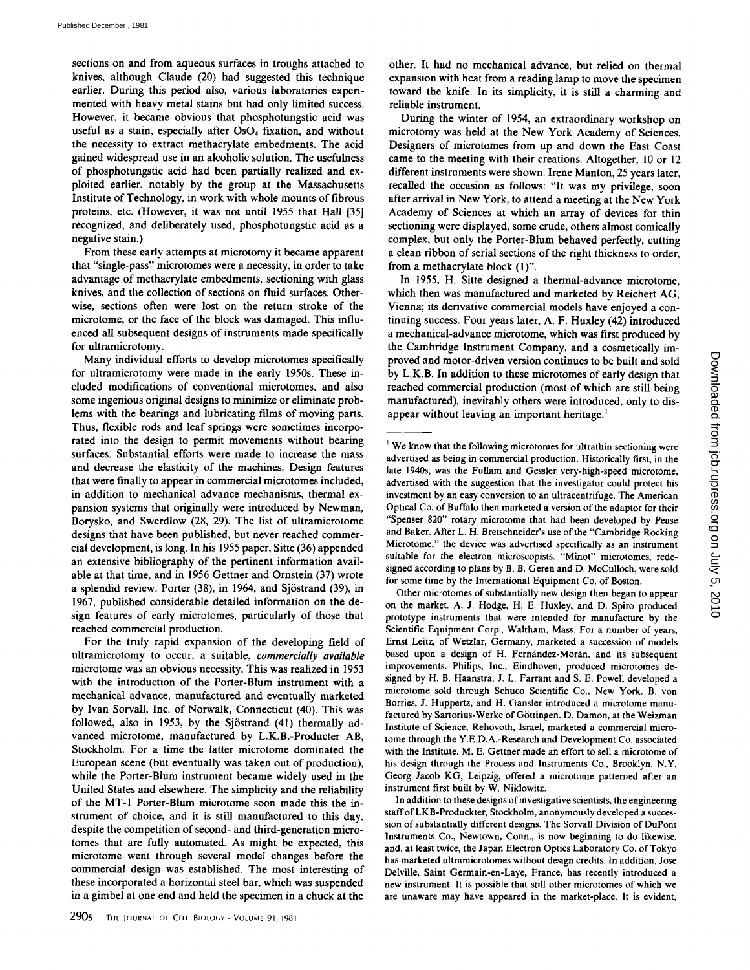sections on and from aqueous surfaces in troughs attached to knives, although Claude (20) had suggested this technique earlier. During this period also, various laboratories experimented with heavy metal stains but had only limited success. However, it became obvious that phosphotungstic acid was useful as a stain, especially after OsO<sub>4</sub> fixation, and without the necessity to extract methacrylate embedments . The acid gained widespread use in an alcoholic solution. The usefulness of phosphotungstic acid had been partially realized and exploited earlier, notably by the group at the Massachusetts Institute of Technology, in work with whole mounts of fibrous proteins, etc. (However, it was not until 1955 that Hall [35] recognized, and deliberately used, phosphotungstic acid as a negative stain.)

From these early attempts at microtomy it became apparent that "single-pass" microtomes were a necessity, in order to take advantage of methacrylate embedments, sectioning with glass knives, and the collection of sections on fluid surfaces. Otherwise, sections often were lost on the return stroke of the microtome, or the face of the block was damaged. This influenced all subsequent designs of instruments made specifically for ultramicrotomy.

Many individual efforts to develop microtomes specifically for ultramicrotomy were made in the early 1950s. These included modifications of conventional microtomes, and also some ingenious original designs to minimize or eliminate problems with the bearings and lubricating films of moving parts. Thus, flexible rods and leaf springs were sometimes incorporated into the design to permit movements without bearing surfaces. Substantial efforts were made to increase the mass and decrease the elasticity of the machines. Design features that were finally to appear in commercial microtomes included, in addition to mechanical advance mechanisms, thermal expansion systems that originally were introduced by Newman, Borysko, and Swerdlow (28, 29). The list of ultramicrotome designs that have been published, but never reached commercial development, is long. In his 1955 paper, Sitte (36) appended an extensive bibliography of the pertinent information available at that time, and in 1956 Gettner and Ornstein (37) wrote a splendid review. Porter (38), in 1964, and Sjöstrand (39), in 1967, published considerable detailed information on the design features of early microtomes, particularly of those that reached commercial production.

For the truly rapid expansion of the developing field of ultramicrotomy to occur, a suitable, *commercially available* microtome was an obvious necessity. This was realized in 1953 with the introduction of the Porter-Blum instrument with a mechanical advance, manufactured and eventually marketed by Ivan Sorvall, Inc. of Norwalk, Connecticut (40). This was followed, also in 1953, by the Sjöstrand (41) thermally advanced microtome, manufactured by L.K.B .-Producter AB, Stockholm. For a time the latter microtome dominated the European scene (but eventually was taken out of production), while the Porter-Blum instrument became widely used in the United States and elsewhere. The simplicity and the reliability of the MT-1 Porter-Blum microtome soon made this the instrument of choice, and it is still manufactured to this day, despite the competition of second- and third-generation microtomes that are fully automated. As might be expected, this microtome went through several model changes before the commercial design was established. The most interesting of these incorporated a horizontal steel bar, which was suspended in a gimbel at one end and held the specimen in a chuck at the

other. It had no mechanical advance, but relied on thermal expansion with heat from a reading lamp to move the specimen toward the knife. In its simplicity, it is still a charming and reliable instrument.

During the winter of 1954, an extraordinary workshop on microtomy was held at the New York Academy of Sciences . Designers of microtomes from up and down the East Coast came to the meeting with their creations. Altogether, 10 or 12 different instruments were shown. Irene Manton, 25 years later, recalled the occasion as follows: "It was my privilege, soon after arrival in NewYork, to attend <sup>a</sup> meeting at the NewYork Academy of Sciences at which an array of devices for thin sectioning were displayed, some crude, others almost comically complex, but only the Porter-Blum behaved perfectly, cutting a clean ribbon of serial sections of the right thickness to order, from a methacrylate block (1)".

In 1955, H. Sitte designed <sup>a</sup> thermal-advance microtome, which then was manufactured and marketed by Reichert AG, Vienna; its derivative commercial models have enjoyed a continuing success. Four years later, A. F. Huxley (42) introduced a mechanical-advance microtome, which was first produced by the Cambridge Instrument Company, and a cosmetically improved and motor-driven version continues to be built and sold by L.K.B . In addition to these microtomes of early design that reached commercial production (most of which are still being manufactured), inevitably others were introduced, only to disappear without leaving an important heritage.<sup>1</sup>

Other microtomes of substantially new design then began to appear on the market. A. J. Hodge, H. E. Huxley, and D. Spiro produced prototype instruments that were intended for manufacture by the Scientific Equipment Corp., Waltham, Mass. For a number of years, Ernst Leitz, of Wetzlar, Germany, marketed a succession of models based upon a design of H. Fernández-Morán, and its subsequent improvements . Philips, Inc., Eindhoven, produced microtomes designed by H. B. Haanstra. J. L. Farrant and S. E. Powell developed a microtome sold through Schuco Scientific Co., New York . B. von Borries, J. Huppertz, and H. Gansler introduced <sup>a</sup> microtome manufactured by Sartorius-Werke of Göttingen. D. Damon, at the Weizman Institute of Science, Rehovoth, Israel, marketed a commercial microtome through the Y.E.D.A.-Research and Development Co. associated with the Institute. M. E. Gettner made an effort to sell <sup>a</sup> microtome of his design through the Process and Instruments Co., Brooklyn, N.Y. Georg Jacob KG, Leipzig, offered a microtome patterned after an instrument first built by W. Niklowitz.

In addition to these designs of investigative scientists, the engineering staff of LKB-Produckter, Stockholm, anonymously developed a succession of substantially different designs. The Sorvall Division of DuPont Instruments Co., Newtown. Conn., is now beginning to do likewise, and, at least twice, the Japan Electron Optics Laboratory Co. of Tokyo has marketed ultramicrotomes without design credits. In addition, Jose Delville, Saint Germain-en-Lave, France, has recently introduced a new instrument . It is possible that still other microtomes of which we are unaware may have appeared in the market-place . It is evident,

 $\frac{1}{2}$  We know that the following microtomes for ultrathin sectioning were advertised as being in commercial production . Historically first, in the late 1940s, was the Fullam and Gessler very-high-speed microtome, advertised with the suggestion that the investigator could protect his investment by an easy conversion to an ultracentrifuge. The American Optical Co. of Buffalo then marketed a version of the adaptor for their "Spenser 820" rotary microtome that had been developed by Pease and Baker. After L. H. Bretschneider's use of the "Cambridge Rocking Microtome," the device was advertised specifically as an instrument suitable for the electron microscopists . "Minor" microtomes, redesigned according to plans by B. B. Geren and D. McCulloch, were sold for some time by the International Equipment Co. of Boston.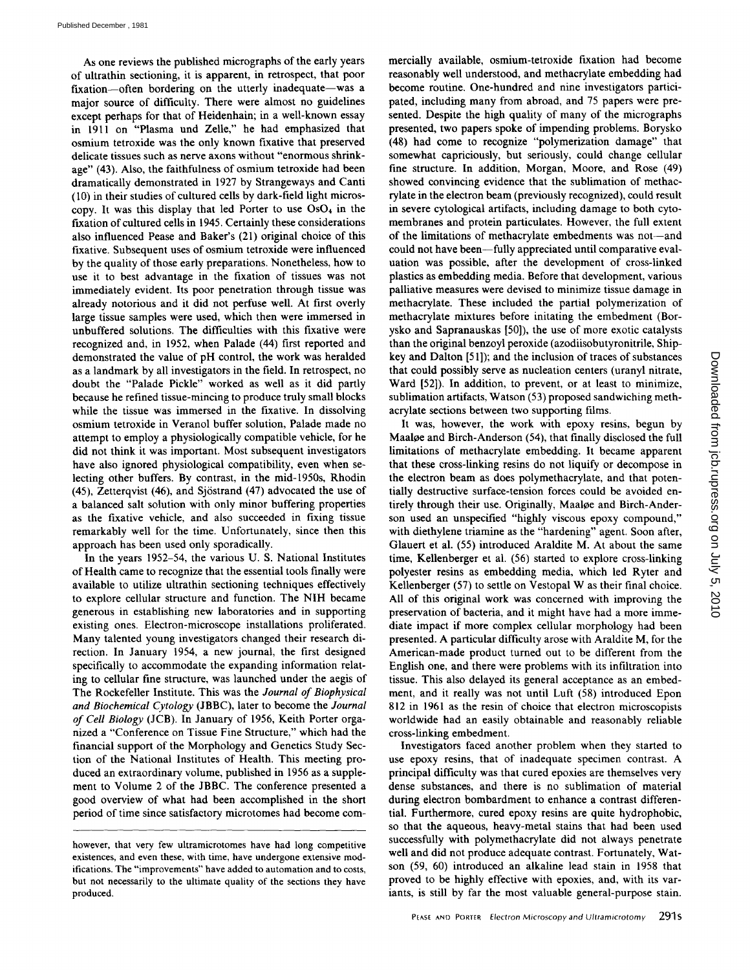As one reviews the published micrographs of the early years of ultrathin sectioning, it is apparent, in retrospect, that poor fixation-often bordering on the utterly inadequate-was a major source of difficulty. There were almost no guidelines except perhaps for that of Heidenhain; in a well-known essay in 1911 on "Plasma und Zelle," he had emphasized that osmium tetroxide was the only known fixative that preserved delicate tissues such as nerve axons without "enormous shrinkage" (43). Also, the faithfulness of osmium tetroxide had been dramatically demonstrated in 1927 by Strangeways and Canti (10) in their studies of cultured cells by dark-field light microscopy. It was this display that led Porter to use Os04 in the fixation of cultured cells in 1945. Certainly these considerations also influenced Pease and Baker's (21) original choice of this fixative. Subsequent uses of osmium tetroxide were influenced by the quality of those early preparations. Nonetheless, how to use it to best advantage in the fixation of tissues was not immediately evident. Its poor penetration through tissue was already notorious and it did not perfuse well. At first overly large tissue samples were used, which then were immersed in unbuffered solutions . The difficulties with this fixative were recognized and, in 1952, when Palade (44) first reported and demonstrated the value of pH control, the work was heralded as a landmark by all investigators in the field. In retrospect, no doubt the "Palade Pickle" worked as well as it did partly because he refined tissue-mincing to produce truly small blocks while the tissue was immersed in the fixative. In dissolving osmium tetroxide in Veranol buffer solution, Palade made no attempt to employ a physiologically compatible vehicle, for he did not think it was important. Most subsequent investigators have also ignored physiological compatibility, even when selecting other buffers. By contrast, in the mid-1950s, Rhodin (45), Zetterqvist (46), and Sjöstrand (47) advocated the use of <sup>a</sup> balanced salt solution with only minor buffering properties as the fixative vehicle, and also succeeded in fixing tissue remarkably well for the time. Unfortunately, since then this approach has been used only sporadically.

In the years 1952-54, the various U. S. National Institutes of Health came to recognize that the essential tools finally were available to utilize ultrathin sectioning techniques effectively to explore cellular structure and function. The NIH became generous in establishing new laboratories and in supporting existing ones. Electron-microscope installations proliferated . Many talented young investigators changed their research direction. In January 1954, a new journal, the first designed specifically to accommodate the expanding information relating to cellular fine structure, was launched under the aegis of The Rockefeller Institute. This was the Journal of Biophysical and Biochemical Cytology (JBBC), later to become the Journal of Cell Biology (JCB). In January of 1956, Keith Porter organized a "Conference on Tissue Fine Structure," which had the financial support of the Morphology and Genetics Study Section of the National Institutes of Health. This meeting produced an extraordinary volume, published in 1956 as a supplement to Volume 2 of the JBBC. The conference presented a good overview of what had been accomplished in the short period of time since satisfactory microtomes had become commercially available, osmium-tetroxide fixation had become reasonably well understood, and methacrylate embedding had become routine. One-hundred and nine investigators participated, including many from abroad, and 75 papers were presented. Despite the high quality of many of the micrographs presented, two papers spoke of impending problems. Borysko (48) had come to recognize "polymerization damage" that somewhat capriciously, but seriously, could change cellular fine structure. In addition, Morgan, Moore, and Rose (49) showed convincing evidence that the sublimation of methacrylate in the electron beam (previously recognized), could result in severe cytological artifacts, including damage to both cytomembranes and protein particulates. However, the full extent of the limitations of methacrylate embedments was not-and could not have been-fully appreciated until comparative evaluation was possible, after the development of cross-linked plastics as embedding media. Before that development, various palliative measures were devised to minimize tissue damage in methacrylate. These included the partial polymerization of methacrylate mixtures before initating the embedment (Borysko and Sapranauskas [50]), the use of more exotic catalysts than the original benzoyl peroxide (azodiisobutyronitrile, Shipkey and Dalton [51]); and the inclusion of traces of substances that could possibly serve as nucleation centers (uranyl nitrate, Ward [52]). In addition, to prevent, or at least to minimize, sublimation artifacts, Watson (53) proposed sandwiching methacrylate sections between two supporting films.

It was, however, the work with epoxy resins, begun by Maaloe and Birch-Anderson (54), that finally disclosed the full limitations of methacrylate embedding. It became apparent that these cross-linking resins do not liquify or decompose in the electron beam as does polymethacrylate, and that potentially destructive surface-tension forces could be avoided entirely through their use. Originally, Maaloe and Birch-Anderson used an unspecified "highly viscous epoxy compound," with diethylene triamine as the "hardening" agent. Soon after, Glauert et al. (55) introduced Araldite M. At about the same time, Kellenberger et al. (56) started to explore cross-linking polyester resins as embedding media, which led Ryter and Kellenberger (57) to settle on Vestopal W as their final choice. All of this original work was concerned with improving the preservation of bacteria, and it might have had a more immediate impact if more complex cellular morphology had been presented. A particular difficulty arose with Araldite M, for the American-made product turned out to be different from the English one, and there were problems with its infiltration into tissue . This also delayed its general acceptance as an embedment, and it really was not until Luft (58) introduced Epon 812 in 1961 as the resin of choice that electron microscopists worldwide had an easily obtainable and reasonably reliable cross-linking embedment.

Investigators faced another problem when they started to use epoxy resins, that of inadequate specimen contrast . A principal difficulty was that cured epoxies are themselves very dense substances, and there is no sublimation of material during electron bombardment to enhance a contrast differential. Furthermore, cured epoxy resins are quite hydrophobic, so that the aqueous, heavy-metal stains that had been used successfully with polymethacrylate did not always penetrate well and did not produce adequate contrast. Fortunately, Watson (59, 60) introduced an alkaline lead stain in 1958 that proved to be highly effective with epoxies, and, with its variants, is still by far the most valuable general-purpose stain.

however, that very few ultramicrotomes have had long competitive existences, and even these, with time, have undergone extensive modifications. The "improvements" have added to automation and to costs, but not necessarily to the ultimate quality of the sections they have produced.